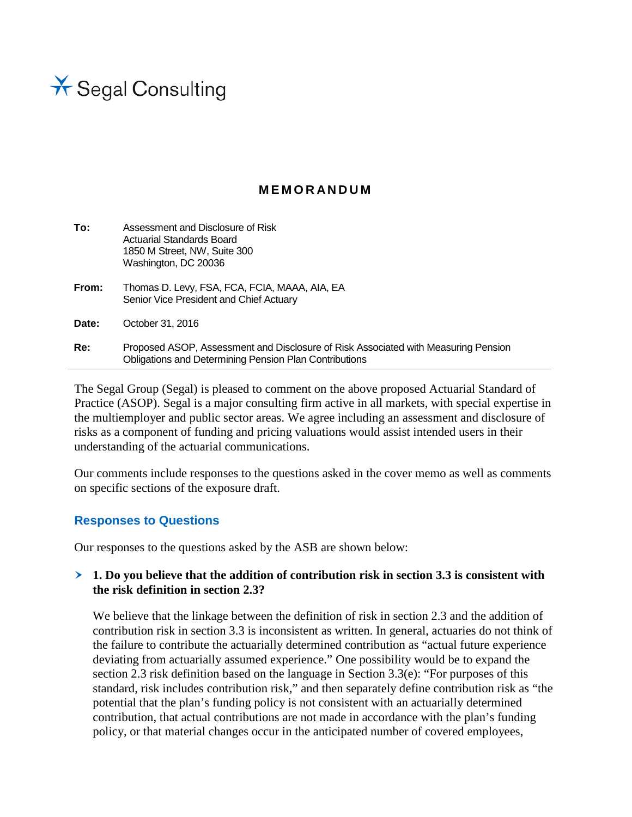

## **MEMORANDUM**

| To:   | Assessment and Disclosure of Risk<br>Actuarial Standards Board<br>1850 M Street, NW, Suite 300<br>Washington, DC 20036                              |
|-------|-----------------------------------------------------------------------------------------------------------------------------------------------------|
| From: | Thomas D. Levy, FSA, FCA, FCIA, MAAA, AIA, EA<br>Senior Vice President and Chief Actuary                                                            |
| Date: | October 31, 2016                                                                                                                                    |
| Re:   | Proposed ASOP, Assessment and Disclosure of Risk Associated with Measuring Pension<br><b>Obligations and Determining Pension Plan Contributions</b> |

The Segal Group (Segal) is pleased to comment on the above proposed Actuarial Standard of Practice (ASOP). Segal is a major consulting firm active in all markets, with special expertise in the multiemployer and public sector areas. We agree including an assessment and disclosure of risks as a component of funding and pricing valuations would assist intended users in their understanding of the actuarial communications.

Our comments include responses to the questions asked in the cover memo as well as comments on specific sections of the exposure draft.

### **Responses to Questions**

Our responses to the questions asked by the ASB are shown below:

#### **1. Do you believe that the addition of contribution risk in section 3.3 is consistent with the risk definition in section 2.3?**

We believe that the linkage between the definition of risk in section 2.3 and the addition of contribution risk in section 3.3 is inconsistent as written. In general, actuaries do not think of the failure to contribute the actuarially determined contribution as "actual future experience deviating from actuarially assumed experience." One possibility would be to expand the section 2.3 risk definition based on the language in Section 3.3(e): "For purposes of this standard, risk includes contribution risk," and then separately define contribution risk as "the potential that the plan's funding policy is not consistent with an actuarially determined contribution, that actual contributions are not made in accordance with the plan's funding policy, or that material changes occur in the anticipated number of covered employees,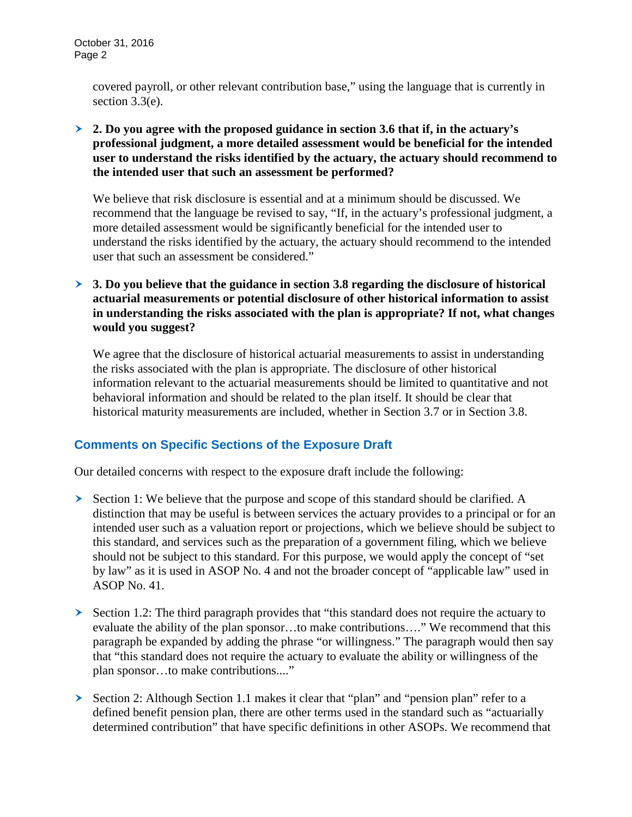covered payroll, or other relevant contribution base," using the language that is currently in section 3.3(e).

 **2. Do you agree with the proposed guidance in section 3.6 that if, in the actuary's professional judgment, a more detailed assessment would be beneficial for the intended user to understand the risks identified by the actuary, the actuary should recommend to the intended user that such an assessment be performed?** 

We believe that risk disclosure is essential and at a minimum should be discussed. We recommend that the language be revised to say, "If, in the actuary's professional judgment, a more detailed assessment would be significantly beneficial for the intended user to understand the risks identified by the actuary, the actuary should recommend to the intended user that such an assessment be considered."

 **3. Do you believe that the guidance in section 3.8 regarding the disclosure of historical actuarial measurements or potential disclosure of other historical information to assist in understanding the risks associated with the plan is appropriate? If not, what changes would you suggest?**

We agree that the disclosure of historical actuarial measurements to assist in understanding the risks associated with the plan is appropriate. The disclosure of other historical information relevant to the actuarial measurements should be limited to quantitative and not behavioral information and should be related to the plan itself. It should be clear that historical maturity measurements are included, whether in Section 3.7 or in Section 3.8.

## **Comments on Specific Sections of the Exposure Draft**

Our detailed concerns with respect to the exposure draft include the following:

- Section 1: We believe that the purpose and scope of this standard should be clarified. A distinction that may be useful is between services the actuary provides to a principal or for an intended user such as a valuation report or projections, which we believe should be subject to this standard, and services such as the preparation of a government filing, which we believe should not be subject to this standard. For this purpose, we would apply the concept of "set by law" as it is used in ASOP No. 4 and not the broader concept of "applicable law" used in ASOP No. 41.
- $\triangleright$  Section 1.2: The third paragraph provides that "this standard does not require the actuary to evaluate the ability of the plan sponsor…to make contributions…." We recommend that this paragraph be expanded by adding the phrase "or willingness." The paragraph would then say that "this standard does not require the actuary to evaluate the ability or willingness of the plan sponsor…to make contributions...."
- Section 2: Although Section 1.1 makes it clear that "plan" and "pension plan" refer to a defined benefit pension plan, there are other terms used in the standard such as "actuarially determined contribution" that have specific definitions in other ASOPs. We recommend that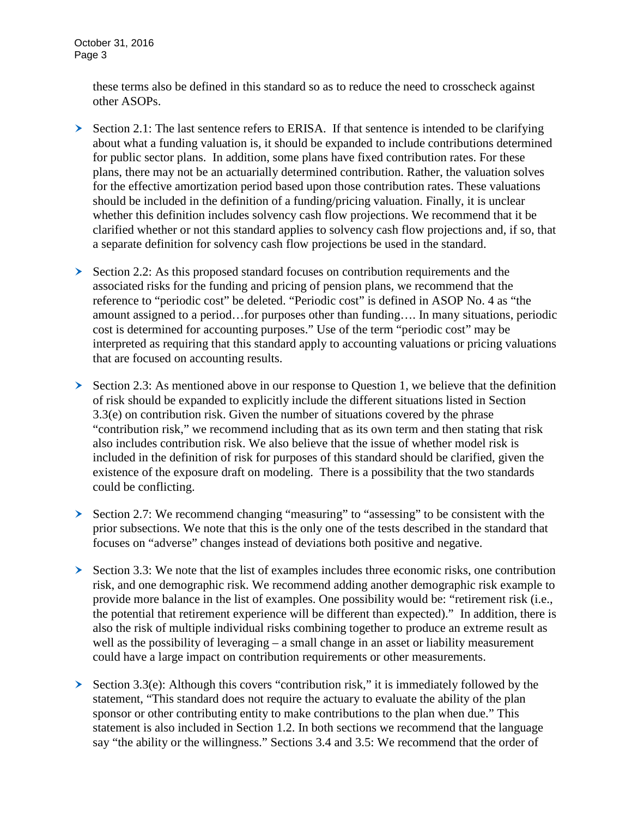these terms also be defined in this standard so as to reduce the need to crosscheck against other ASOPs.

- $\geq$  Section 2.1: The last sentence refers to ERISA. If that sentence is intended to be clarifying about what a funding valuation is, it should be expanded to include contributions determined for public sector plans. In addition, some plans have fixed contribution rates. For these plans, there may not be an actuarially determined contribution. Rather, the valuation solves for the effective amortization period based upon those contribution rates. These valuations should be included in the definition of a funding/pricing valuation. Finally, it is unclear whether this definition includes solvency cash flow projections. We recommend that it be clarified whether or not this standard applies to solvency cash flow projections and, if so, that a separate definition for solvency cash flow projections be used in the standard.
- Section 2.2: As this proposed standard focuses on contribution requirements and the associated risks for the funding and pricing of pension plans, we recommend that the reference to "periodic cost" be deleted. "Periodic cost" is defined in ASOP No. 4 as "the amount assigned to a period…for purposes other than funding…. In many situations, periodic cost is determined for accounting purposes." Use of the term "periodic cost" may be interpreted as requiring that this standard apply to accounting valuations or pricing valuations that are focused on accounting results.
- $\triangleright$  Section 2.3: As mentioned above in our response to Question 1, we believe that the definition of risk should be expanded to explicitly include the different situations listed in Section 3.3(e) on contribution risk. Given the number of situations covered by the phrase "contribution risk," we recommend including that as its own term and then stating that risk also includes contribution risk. We also believe that the issue of whether model risk is included in the definition of risk for purposes of this standard should be clarified, given the existence of the exposure draft on modeling. There is a possibility that the two standards could be conflicting.
- Section 2.7: We recommend changing "measuring" to "assessing" to be consistent with the prior subsections. We note that this is the only one of the tests described in the standard that focuses on "adverse" changes instead of deviations both positive and negative.
- $\geq$  Section 3.3: We note that the list of examples includes three economic risks, one contribution risk, and one demographic risk. We recommend adding another demographic risk example to provide more balance in the list of examples. One possibility would be: "retirement risk (i.e., the potential that retirement experience will be different than expected)." In addition, there is also the risk of multiple individual risks combining together to produce an extreme result as well as the possibility of leveraging – a small change in an asset or liability measurement could have a large impact on contribution requirements or other measurements.
- Section 3.3(e): Although this covers "contribution risk," it is immediately followed by the statement, "This standard does not require the actuary to evaluate the ability of the plan sponsor or other contributing entity to make contributions to the plan when due." This statement is also included in Section 1.2. In both sections we recommend that the language say "the ability or the willingness." Sections 3.4 and 3.5: We recommend that the order of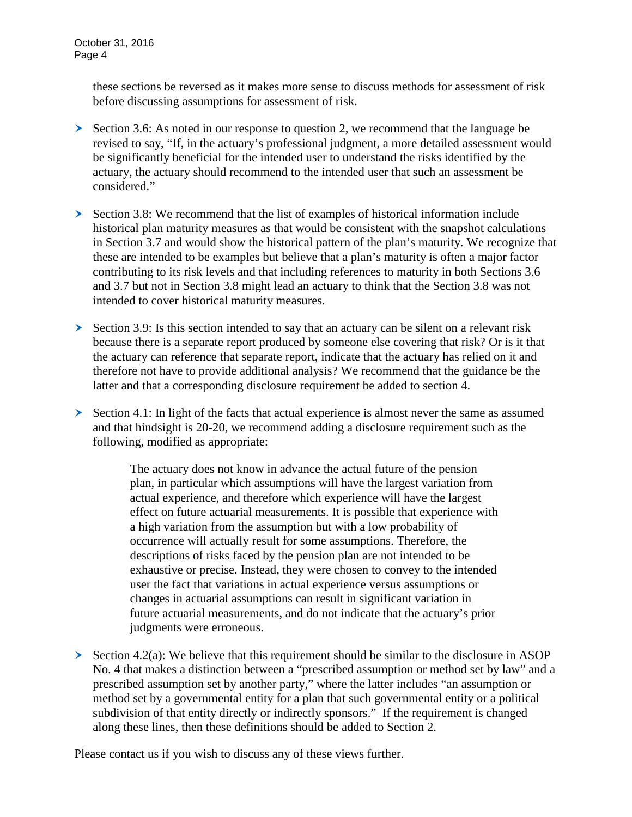these sections be reversed as it makes more sense to discuss methods for assessment of risk before discussing assumptions for assessment of risk.

- $\geq$  Section 3.6: As noted in our response to question 2, we recommend that the language be revised to say, "If, in the actuary's professional judgment, a more detailed assessment would be significantly beneficial for the intended user to understand the risks identified by the actuary, the actuary should recommend to the intended user that such an assessment be considered."
- $\geq$  Section 3.8: We recommend that the list of examples of historical information include historical plan maturity measures as that would be consistent with the snapshot calculations in Section 3.7 and would show the historical pattern of the plan's maturity. We recognize that these are intended to be examples but believe that a plan's maturity is often a major factor contributing to its risk levels and that including references to maturity in both Sections 3.6 and 3.7 but not in Section 3.8 might lead an actuary to think that the Section 3.8 was not intended to cover historical maturity measures.
- $\geq$  Section 3.9: Is this section intended to say that an actuary can be silent on a relevant risk because there is a separate report produced by someone else covering that risk? Or is it that the actuary can reference that separate report, indicate that the actuary has relied on it and therefore not have to provide additional analysis? We recommend that the guidance be the latter and that a corresponding disclosure requirement be added to section 4.
- $\geq$  Section 4.1: In light of the facts that actual experience is almost never the same as assumed and that hindsight is 20-20, we recommend adding a disclosure requirement such as the following, modified as appropriate:

The actuary does not know in advance the actual future of the pension plan, in particular which assumptions will have the largest variation from actual experience, and therefore which experience will have the largest effect on future actuarial measurements. It is possible that experience with a high variation from the assumption but with a low probability of occurrence will actually result for some assumptions. Therefore, the descriptions of risks faced by the pension plan are not intended to be exhaustive or precise. Instead, they were chosen to convey to the intended user the fact that variations in actual experience versus assumptions or changes in actuarial assumptions can result in significant variation in future actuarial measurements, and do not indicate that the actuary's prior judgments were erroneous.

 $\geq$  Section 4.2(a): We believe that this requirement should be similar to the disclosure in ASOP No. 4 that makes a distinction between a "prescribed assumption or method set by law" and a prescribed assumption set by another party," where the latter includes "an assumption or method set by a governmental entity for a plan that such governmental entity or a political subdivision of that entity directly or indirectly sponsors." If the requirement is changed along these lines, then these definitions should be added to Section 2.

Please contact us if you wish to discuss any of these views further.